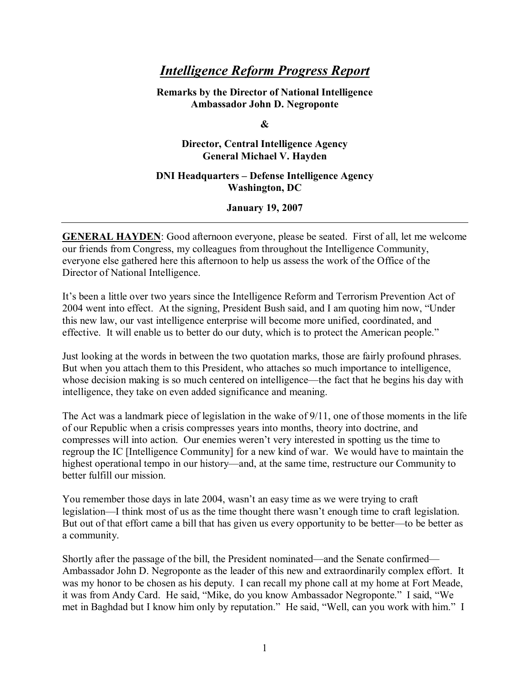## *Intelligence Reform Progress Report*

**Remarks by the Director of National Intelligence Ambassador John D. Negroponte** 

**&** 

**Director, Central Intelligence Agency General Michael V. Hayden** 

## **DNI Headquarters - Defense Intelligence Agency Washington, DC**

**January 19, 2007** 

**GENERAL HAYDEN**: Good afternoon everyone, please be seated. First of all, let me welcome our friends from Congress, my colleagues from throughout the Intelligence Community, everyone else gathered here this afternoon to help us assess the work of the Office of the Director of National Intelligence.

Itís been a little over two years since the Intelligence Reform and Terrorism Prevention Act of 2004 went into effect. At the signing, President Bush said, and I am quoting him now, "Under this new law, our vast intelligence enterprise will become more unified, coordinated, and effective. It will enable us to better do our duty, which is to protect the American people."

Just looking at the words in between the two quotation marks, those are fairly profound phrases. But when you attach them to this President, who attaches so much importance to intelligence, whose decision making is so much centered on intelligence—the fact that he begins his day with intelligence, they take on even added significance and meaning.

The Act was a landmark piece of legislation in the wake of 9/11, one of those moments in the life of our Republic when a crisis compresses years into months, theory into doctrine, and compresses will into action. Our enemies weren't very interested in spotting us the time to regroup the IC [Intelligence Community] for a new kind of war. We would have to maintain the highest operational tempo in our history—and, at the same time, restructure our Community to better fulfill our mission.

You remember those days in late 2004, wasn't an easy time as we were trying to craft legislation—I think most of us as the time thought there wasn't enough time to craft legislation. But out of that effort came a bill that has given us every opportunity to be better—to be better as a community.

Shortly after the passage of the bill, the President nominated—and the Senate confirmed— Ambassador John D. Negroponte as the leader of this new and extraordinarily complex effort. It was my honor to be chosen as his deputy. I can recall my phone call at my home at Fort Meade, it was from Andy Card. He said, "Mike, do you know Ambassador Negroponte." I said, "We met in Baghdad but I know him only by reputation." He said, "Well, can you work with him." I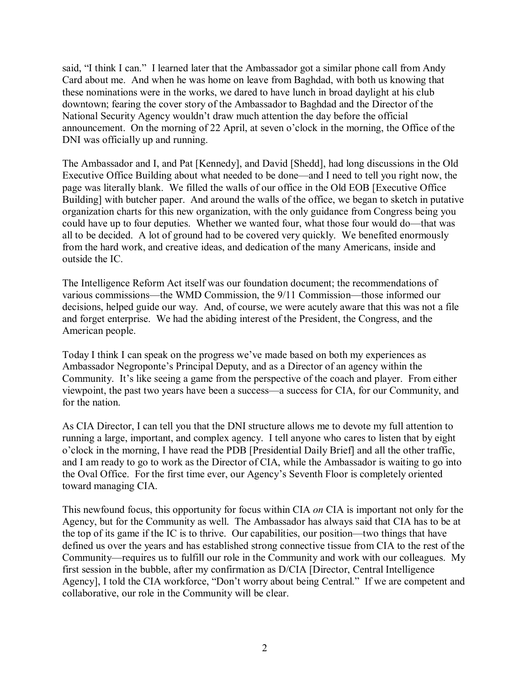said, "I think I can." I learned later that the Ambassador got a similar phone call from Andy Card about me. And when he was home on leave from Baghdad, with both us knowing that these nominations were in the works, we dared to have lunch in broad daylight at his club downtown; fearing the cover story of the Ambassador to Baghdad and the Director of the National Security Agency wouldn't draw much attention the day before the official announcement. On the morning of 22 April, at seven o'clock in the morning, the Office of the DNI was officially up and running.

The Ambassador and I, and Pat [Kennedy], and David [Shedd], had long discussions in the Old Executive Office Building about what needed to be done—and I need to tell you right now, the page was literally blank. We filled the walls of our office in the Old EOB [Executive Office Building] with butcher paper. And around the walls of the office, we began to sketch in putative organization charts for this new organization, with the only guidance from Congress being you could have up to four deputies. Whether we wanted four, what those four would do—that was all to be decided. A lot of ground had to be covered very quickly. We benefited enormously from the hard work, and creative ideas, and dedication of the many Americans, inside and outside the IC.

The Intelligence Reform Act itself was our foundation document; the recommendations of various commissions—the WMD Commission, the 9/11 Commission—those informed our decisions, helped guide our way. And, of course, we were acutely aware that this was not a file and forget enterprise. We had the abiding interest of the President, the Congress, and the American people.

Today I think I can speak on the progress we've made based on both my experiences as Ambassador Negroponte's Principal Deputy, and as a Director of an agency within the Community. It's like seeing a game from the perspective of the coach and player. From either viewpoint, the past two years have been a success—a success for CIA, for our Community, and for the nation.

As CIA Director, I can tell you that the DNI structure allows me to devote my full attention to running a large, important, and complex agency. I tell anyone who cares to listen that by eight oíclock in the morning, I have read the PDB [Presidential Daily Brief] and all the other traffic, and I am ready to go to work as the Director of CIA, while the Ambassador is waiting to go into the Oval Office. For the first time ever, our Agency's Seventh Floor is completely oriented toward managing CIA.

This newfound focus, this opportunity for focus within CIA *on* CIA is important not only for the Agency, but for the Community as well. The Ambassador has always said that CIA has to be at the top of its game if the IC is to thrive. Our capabilities, our position—two things that have defined us over the years and has established strong connective tissue from CIA to the rest of the Community—requires us to fulfill our role in the Community and work with our colleagues. My first session in the bubble, after my confirmation as D/CIA [Director, Central Intelligence Agency], I told the CIA workforce, "Don't worry about being Central." If we are competent and collaborative, our role in the Community will be clear.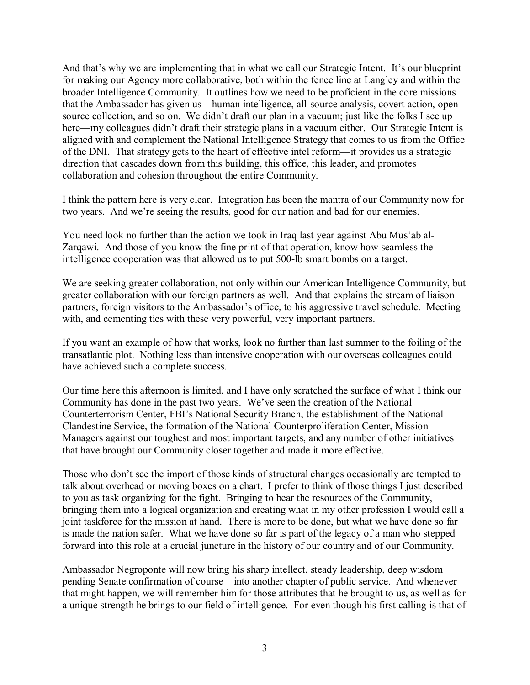And that's why we are implementing that in what we call our Strategic Intent. It's our blueprint for making our Agency more collaborative, both within the fence line at Langley and within the broader Intelligence Community. It outlines how we need to be proficient in the core missions that the Ambassador has given us—human intelligence, all-source analysis, covert action, opensource collection, and so on. We didn't draft our plan in a vacuum; just like the folks I see up here—my colleagues didn't draft their strategic plans in a vacuum either. Our Strategic Intent is aligned with and complement the National Intelligence Strategy that comes to us from the Office of the DNI. That strategy gets to the heart of effective intel reform—it provides us a strategic direction that cascades down from this building, this office, this leader, and promotes collaboration and cohesion throughout the entire Community.

I think the pattern here is very clear. Integration has been the mantra of our Community now for two years. And we're seeing the results, good for our nation and bad for our enemies.

You need look no further than the action we took in Iraq last year against Abu Musíab al-Zarqawi. And those of you know the fine print of that operation, know how seamless the intelligence cooperation was that allowed us to put 500-lb smart bombs on a target.

We are seeking greater collaboration, not only within our American Intelligence Community, but greater collaboration with our foreign partners as well. And that explains the stream of liaison partners, foreign visitors to the Ambassador's office, to his aggressive travel schedule. Meeting with, and cementing ties with these very powerful, very important partners.

If you want an example of how that works, look no further than last summer to the foiling of the transatlantic plot. Nothing less than intensive cooperation with our overseas colleagues could have achieved such a complete success.

Our time here this afternoon is limited, and I have only scratched the surface of what I think our Community has done in the past two years. We've seen the creation of the National Counterterrorism Center, FBI's National Security Branch, the establishment of the National Clandestine Service, the formation of the National Counterproliferation Center, Mission Managers against our toughest and most important targets, and any number of other initiatives that have brought our Community closer together and made it more effective.

Those who don't see the import of those kinds of structural changes occasionally are tempted to talk about overhead or moving boxes on a chart. I prefer to think of those things I just described to you as task organizing for the fight. Bringing to bear the resources of the Community, bringing them into a logical organization and creating what in my other profession I would call a joint taskforce for the mission at hand. There is more to be done, but what we have done so far is made the nation safer. What we have done so far is part of the legacy of a man who stepped forward into this role at a crucial juncture in the history of our country and of our Community.

Ambassador Negroponte will now bring his sharp intellect, steady leadership, deep wisdom pending Senate confirmation of course—into another chapter of public service. And whenever that might happen, we will remember him for those attributes that he brought to us, as well as for a unique strength he brings to our field of intelligence. For even though his first calling is that of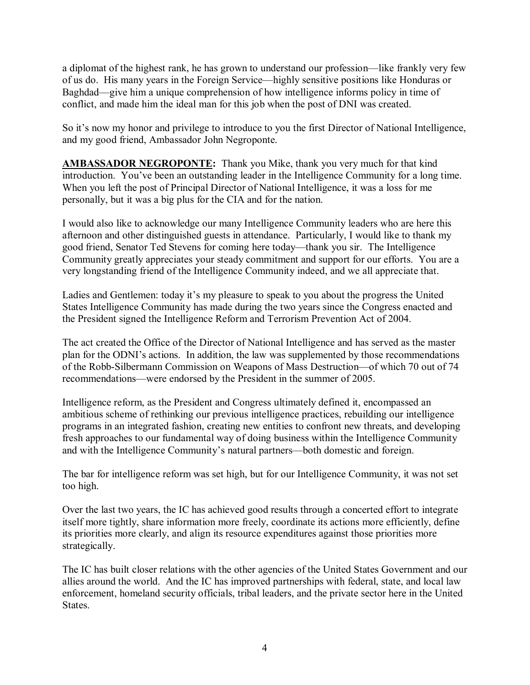a diplomat of the highest rank, he has grown to understand our profession—like frankly very few of us do. His many years in the Foreign Service—highly sensitive positions like Honduras or Baghdad—give him a unique comprehension of how intelligence informs policy in time of conflict, and made him the ideal man for this job when the post of DNI was created.

So it's now my honor and privilege to introduce to you the first Director of National Intelligence, and my good friend, Ambassador John Negroponte.

**AMBASSADOR NEGROPONTE:** Thank you Mike, thank you very much for that kind introduction. You've been an outstanding leader in the Intelligence Community for a long time. When you left the post of Principal Director of National Intelligence, it was a loss for me personally, but it was a big plus for the CIA and for the nation.

I would also like to acknowledge our many Intelligence Community leaders who are here this afternoon and other distinguished guests in attendance. Particularly, I would like to thank my good friend, Senator Ted Stevens for coming here today—thank you sir. The Intelligence Community greatly appreciates your steady commitment and support for our efforts. You are a very longstanding friend of the Intelligence Community indeed, and we all appreciate that.

Ladies and Gentlemen: today it's my pleasure to speak to you about the progress the United States Intelligence Community has made during the two years since the Congress enacted and the President signed the Intelligence Reform and Terrorism Prevention Act of 2004.

The act created the Office of the Director of National Intelligence and has served as the master plan for the ODNI's actions. In addition, the law was supplemented by those recommendations of the Robb-Silbermann Commission on Weapons of Mass Destruction—of which 70 out of 74 recommendations—were endorsed by the President in the summer of 2005.

Intelligence reform, as the President and Congress ultimately defined it, encompassed an ambitious scheme of rethinking our previous intelligence practices, rebuilding our intelligence programs in an integrated fashion, creating new entities to confront new threats, and developing fresh approaches to our fundamental way of doing business within the Intelligence Community and with the Intelligence Community's natural partners—both domestic and foreign.

The bar for intelligence reform was set high, but for our Intelligence Community, it was not set too high.

Over the last two years, the IC has achieved good results through a concerted effort to integrate itself more tightly, share information more freely, coordinate its actions more efficiently, define its priorities more clearly, and align its resource expenditures against those priorities more strategically.

The IC has built closer relations with the other agencies of the United States Government and our allies around the world. And the IC has improved partnerships with federal, state, and local law enforcement, homeland security officials, tribal leaders, and the private sector here in the United States.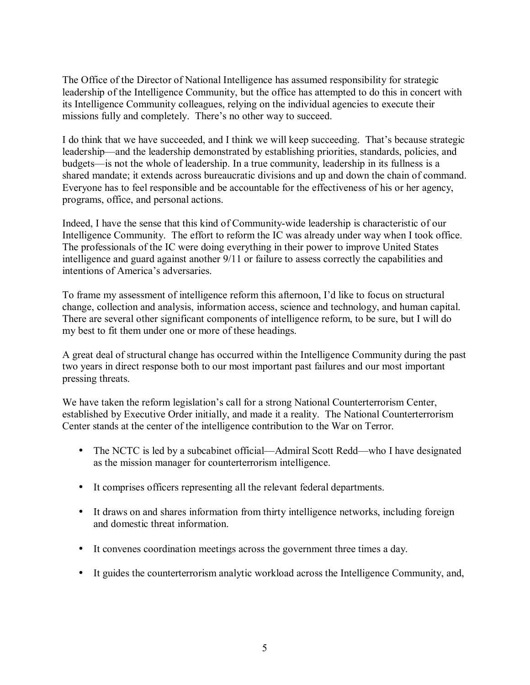The Office of the Director of National Intelligence has assumed responsibility for strategic leadership of the Intelligence Community, but the office has attempted to do this in concert with its Intelligence Community colleagues, relying on the individual agencies to execute their missions fully and completely. There's no other way to succeed.

I do think that we have succeeded, and I think we will keep succeeding. That's because strategic leadership—and the leadership demonstrated by establishing priorities, standards, policies, and budgets—is not the whole of leadership. In a true community, leadership in its fullness is a shared mandate; it extends across bureaucratic divisions and up and down the chain of command. Everyone has to feel responsible and be accountable for the effectiveness of his or her agency, programs, office, and personal actions.

Indeed, I have the sense that this kind of Community-wide leadership is characteristic of our Intelligence Community. The effort to reform the IC was already under way when I took office. The professionals of the IC were doing everything in their power to improve United States intelligence and guard against another 9/11 or failure to assess correctly the capabilities and intentions of America's adversaries.

To frame my assessment of intelligence reform this afternoon, I'd like to focus on structural change, collection and analysis, information access, science and technology, and human capital. There are several other significant components of intelligence reform, to be sure, but I will do my best to fit them under one or more of these headings.

A great deal of structural change has occurred within the Intelligence Community during the past two years in direct response both to our most important past failures and our most important pressing threats.

We have taken the reform legislation's call for a strong National Counterterrorism Center, established by Executive Order initially, and made it a reality. The National Counterterrorism Center stands at the center of the intelligence contribution to the War on Terror.

- The NCTC is led by a subcabinet official—Admiral Scott Redd—who I have designated as the mission manager for counterterrorism intelligence.
- It comprises officers representing all the relevant federal departments.
- It draws on and shares information from thirty intelligence networks, including foreign and domestic threat information.
- It convenes coordination meetings across the government three times a day.
- It guides the counterterrorism analytic workload across the Intelligence Community, and,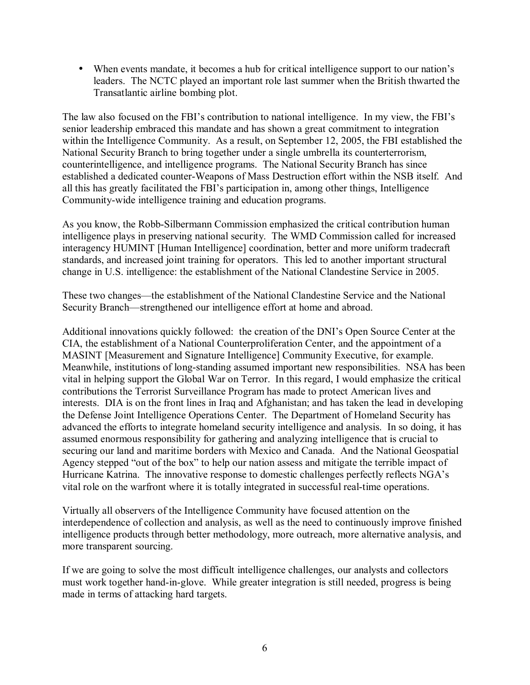• When events mandate, it becomes a hub for critical intelligence support to our nation's leaders. The NCTC played an important role last summer when the British thwarted the Transatlantic airline bombing plot.

The law also focused on the FBI's contribution to national intelligence. In my view, the FBI's senior leadership embraced this mandate and has shown a great commitment to integration within the Intelligence Community. As a result, on September 12, 2005, the FBI established the National Security Branch to bring together under a single umbrella its counterterrorism, counterintelligence, and intelligence programs. The National Security Branch has since established a dedicated counter-Weapons of Mass Destruction effort within the NSB itself. And all this has greatly facilitated the FBI's participation in, among other things, Intelligence Community-wide intelligence training and education programs.

As you know, the Robb-Silbermann Commission emphasized the critical contribution human intelligence plays in preserving national security. The WMD Commission called for increased interagency HUMINT [Human Intelligence] coordination, better and more uniform tradecraft standards, and increased joint training for operators. This led to another important structural change in U.S. intelligence: the establishment of the National Clandestine Service in 2005.

These two changes—the establishment of the National Clandestine Service and the National Security Branch—strengthened our intelligence effort at home and abroad.

Additional innovations quickly followed: the creation of the DNI's Open Source Center at the CIA, the establishment of a National Counterproliferation Center, and the appointment of a MASINT [Measurement and Signature Intelligence] Community Executive, for example. Meanwhile, institutions of long-standing assumed important new responsibilities. NSA has been vital in helping support the Global War on Terror. In this regard, I would emphasize the critical contributions the Terrorist Surveillance Program has made to protect American lives and interests. DIA is on the front lines in Iraq and Afghanistan; and has taken the lead in developing the Defense Joint Intelligence Operations Center. The Department of Homeland Security has advanced the efforts to integrate homeland security intelligence and analysis. In so doing, it has assumed enormous responsibility for gathering and analyzing intelligence that is crucial to securing our land and maritime borders with Mexico and Canada. And the National Geospatial Agency stepped "out of the box" to help our nation assess and mitigate the terrible impact of Hurricane Katrina. The innovative response to domestic challenges perfectly reflects NGA's vital role on the warfront where it is totally integrated in successful real-time operations.

Virtually all observers of the Intelligence Community have focused attention on the interdependence of collection and analysis, as well as the need to continuously improve finished intelligence products through better methodology, more outreach, more alternative analysis, and more transparent sourcing.

If we are going to solve the most difficult intelligence challenges, our analysts and collectors must work together hand-in-glove. While greater integration is still needed, progress is being made in terms of attacking hard targets.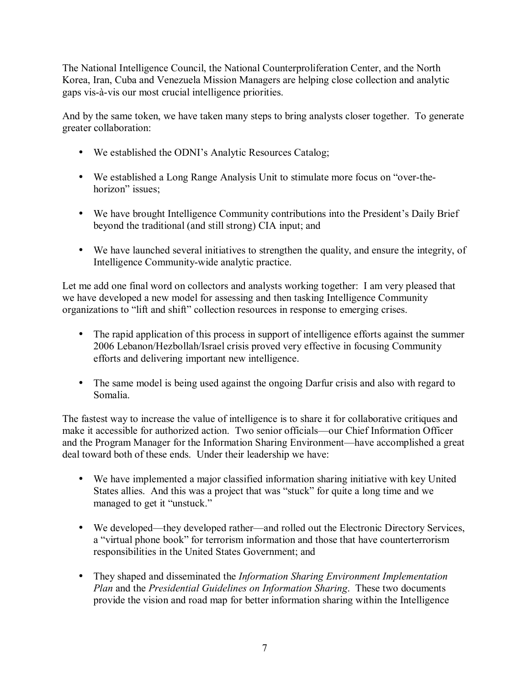The National Intelligence Council, the National Counterproliferation Center, and the North Korea, Iran, Cuba and Venezuela Mission Managers are helping close collection and analytic gaps vis-à-vis our most crucial intelligence priorities.

And by the same token, we have taken many steps to bring analysts closer together. To generate greater collaboration:

- We established the ODNI's Analytic Resources Catalog;
- We established a Long Range Analysis Unit to stimulate more focus on "over-thehorizon" issues;
- We have brought Intelligence Community contributions into the President's Daily Brief beyond the traditional (and still strong) CIA input; and
- We have launched several initiatives to strengthen the quality, and ensure the integrity, of Intelligence Community-wide analytic practice.

Let me add one final word on collectors and analysts working together: I am very pleased that we have developed a new model for assessing and then tasking Intelligence Community organizations to "lift and shift" collection resources in response to emerging crises.

- The rapid application of this process in support of intelligence efforts against the summer 2006 Lebanon/Hezbollah/Israel crisis proved very effective in focusing Community efforts and delivering important new intelligence.
- The same model is being used against the ongoing Darfur crisis and also with regard to Somalia.

The fastest way to increase the value of intelligence is to share it for collaborative critiques and make it accessible for authorized action. Two senior officials—our Chief Information Officer and the Program Manager for the Information Sharing Environment—have accomplished a great deal toward both of these ends. Under their leadership we have:

- We have implemented a major classified information sharing initiative with key United States allies. And this was a project that was "stuck" for quite a long time and we managed to get it "unstuck."
- We developed—they developed rather—and rolled out the Electronic Directory Services, a "virtual phone book" for terrorism information and those that have counterterrorism responsibilities in the United States Government; and
- They shaped and disseminated the *Information Sharing Environment Implementation Plan* and the *Presidential Guidelines on Information Sharing*. These two documents provide the vision and road map for better information sharing within the Intelligence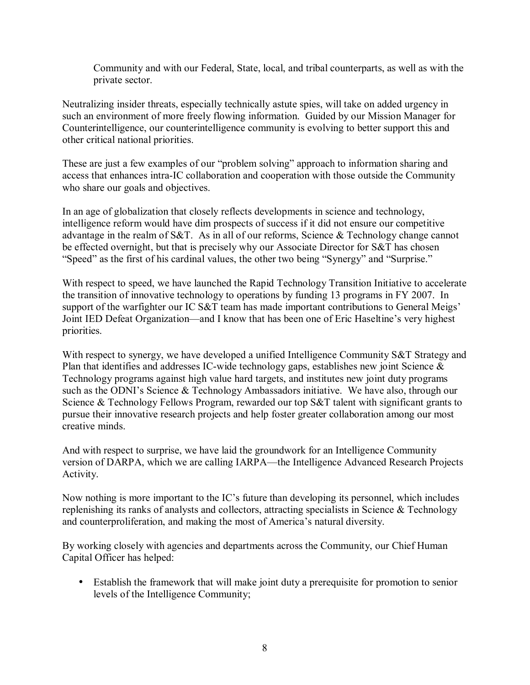Community and with our Federal, State, local, and tribal counterparts, as well as with the private sector.

Neutralizing insider threats, especially technically astute spies, will take on added urgency in such an environment of more freely flowing information. Guided by our Mission Manager for Counterintelligence, our counterintelligence community is evolving to better support this and other critical national priorities.

These are just a few examples of our "problem solving" approach to information sharing and access that enhances intra-IC collaboration and cooperation with those outside the Community who share our goals and objectives.

In an age of globalization that closely reflects developments in science and technology, intelligence reform would have dim prospects of success if it did not ensure our competitive advantage in the realm of S&T. As in all of our reforms, Science & Technology change cannot be effected overnight, but that is precisely why our Associate Director for S&T has chosen "Speed" as the first of his cardinal values, the other two being "Synergy" and "Surprise."

With respect to speed, we have launched the Rapid Technology Transition Initiative to accelerate the transition of innovative technology to operations by funding 13 programs in FY 2007. In support of the warfighter our IC S&T team has made important contributions to General Meigs<sup>'</sup> Joint IED Defeat Organization—and I know that has been one of Eric Haseltine's very highest priorities.

With respect to synergy, we have developed a unified Intelligence Community S&T Strategy and Plan that identifies and addresses IC-wide technology gaps, establishes new joint Science & Technology programs against high value hard targets, and institutes new joint duty programs such as the ODNI's Science & Technology Ambassadors initiative. We have also, through our Science & Technology Fellows Program, rewarded our top S&T talent with significant grants to pursue their innovative research projects and help foster greater collaboration among our most creative minds.

And with respect to surprise, we have laid the groundwork for an Intelligence Community version of DARPA, which we are calling IARPA—the Intelligence Advanced Research Projects Activity.

Now nothing is more important to the IC's future than developing its personnel, which includes replenishing its ranks of analysts and collectors, attracting specialists in Science & Technology and counterproliferation, and making the most of America's natural diversity.

By working closely with agencies and departments across the Community, our Chief Human Capital Officer has helped:

• Establish the framework that will make joint duty a prerequisite for promotion to senior levels of the Intelligence Community;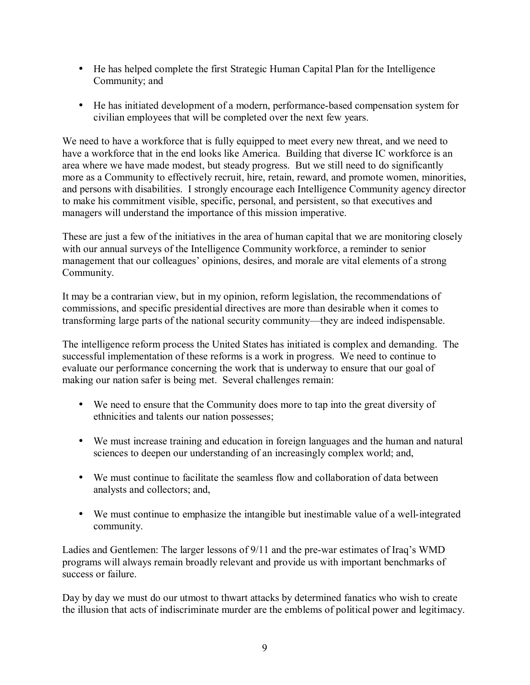- He has helped complete the first Strategic Human Capital Plan for the Intelligence Community; and
- He has initiated development of a modern, performance-based compensation system for civilian employees that will be completed over the next few years.

We need to have a workforce that is fully equipped to meet every new threat, and we need to have a workforce that in the end looks like America. Building that diverse IC workforce is an area where we have made modest, but steady progress. But we still need to do significantly more as a Community to effectively recruit, hire, retain, reward, and promote women, minorities, and persons with disabilities. I strongly encourage each Intelligence Community agency director to make his commitment visible, specific, personal, and persistent, so that executives and managers will understand the importance of this mission imperative.

These are just a few of the initiatives in the area of human capital that we are monitoring closely with our annual surveys of the Intelligence Community workforce, a reminder to senior management that our colleagues' opinions, desires, and morale are vital elements of a strong Community.

It may be a contrarian view, but in my opinion, reform legislation, the recommendations of commissions, and specific presidential directives are more than desirable when it comes to transforming large parts of the national security community—they are indeed indispensable.

The intelligence reform process the United States has initiated is complex and demanding. The successful implementation of these reforms is a work in progress. We need to continue to evaluate our performance concerning the work that is underway to ensure that our goal of making our nation safer is being met. Several challenges remain:

- We need to ensure that the Community does more to tap into the great diversity of ethnicities and talents our nation possesses;
- We must increase training and education in foreign languages and the human and natural sciences to deepen our understanding of an increasingly complex world; and,
- We must continue to facilitate the seamless flow and collaboration of data between analysts and collectors; and,
- We must continue to emphasize the intangible but inestimable value of a well-integrated community.

Ladies and Gentlemen: The larger lessons of 9/11 and the pre-war estimates of Iraq's WMD programs will always remain broadly relevant and provide us with important benchmarks of success or failure.

Day by day we must do our utmost to thwart attacks by determined fanatics who wish to create the illusion that acts of indiscriminate murder are the emblems of political power and legitimacy.